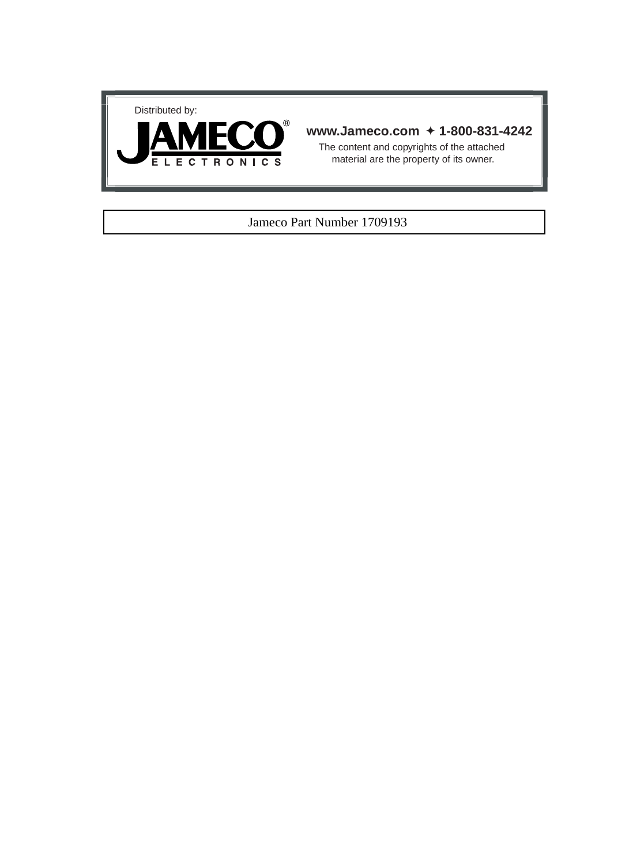



### **www.Jameco.com** ✦ **1-800-831-4242**

The content and copyrights of the attached material are the property of its owner.

### Jameco Part Number 1709193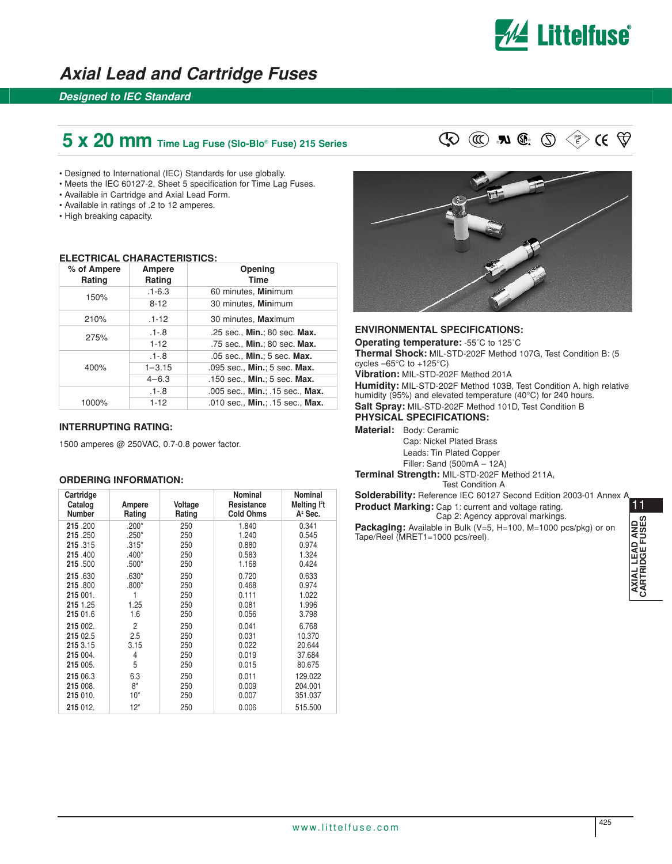

## **Axial Lead and Cartridge Fuses**

## **Designed to IEC Standard**

## **5 x 20 mm** Time Lag Fuse (Slo-Blo® Fuse) 215 Series  $\mathbb{Q} \quad \mathbb{Q} \quad \mathbb{R} \quad \mathbb{Q} \quad \mathbb{R} \quad \mathbb{Q} \quad \mathbb{Q} \quad \mathbb{Q}$

- Designed to International (IEC) Standards for use globally.
- Meets the IEC 60127-2, Sheet 5 specification for Time Lag Fuses.
- Available in Cartridge and Axial Lead Form.
- Available in ratings of .2 to 12 amperes.
- High breaking capacity.

#### **ELECTRICAL CHARACTERISTICS:**

| % of Ampere<br>Rating | Ampere<br>Rating | Opening<br>Time                 |
|-----------------------|------------------|---------------------------------|
| 150%                  | $.1 - 6.3$       | 60 minutes, Minimum             |
|                       | $8 - 12$         | 30 minutes, Minimum             |
| 210%                  | $.1 - 12$        | 30 minutes, Maximum             |
| 275%                  | $.1 - .8$        | .25 sec., Min.; 80 sec. Max.    |
|                       | $1-12$           | .75 sec., Min.; 80 sec. Max.    |
|                       | $.1 - .8$        | .05 sec., Min.; 5 sec. Max.     |
| 400%                  | $1 - 3.15$       | .095 sec., Min.; 5 sec. Max.    |
|                       | $4 - 6.3$        | .150 sec., Min.; 5 sec. Max.    |
|                       | $.1 - .8$        | .005 sec., Min.; .15 sec., Max. |
| 1000%                 | $1 - 12$         | .010 sec., Min.; .15 sec., Max. |

#### **INTERRUPTING RATING:**

1500 amperes @ 250VAC, 0.7-0.8 power factor.

#### **ORDERING INFORMATION:**

| Cartridge<br>Catalog<br><b>Number</b> | Ampere<br>Rating | Voltage<br>Rating | Nominal<br>Resistance<br><b>Cold Ohms</b> | Nominal<br>Melting <sup>12</sup> t<br>$A2$ Sec. |
|---------------------------------------|------------------|-------------------|-------------------------------------------|-------------------------------------------------|
| 215.200                               | $.200*$          | 250               | 1.840                                     | 0.341                                           |
| 215.250                               | $.250*$          | 250               | 1.240                                     | 0.545                                           |
| 215.315                               | $.315*$          | 250               | 0.880                                     | 0.974                                           |
| 215,400                               | $.400*$          | 250               | 0.583                                     | 1.324                                           |
| 215.500                               | $.500*$          | 250               | 1.168                                     | 0.424                                           |
| 215.630                               | $.630*$          | 250               | 0.720                                     | 0.633                                           |
| 215.800                               | $.800*$          | 250               | 0.468                                     | 0.974                                           |
| 215 001.                              |                  | 250               | 0.111                                     | 1.022                                           |
| 215 1.25                              | 1.25             | 250               | 0.081                                     | 1.996                                           |
| 215 01.6                              | 1.6              | 250               | 0.056                                     | 3.798                                           |
| 215 002.                              | 2                | 250               | 0.041                                     | 6.768                                           |
| 215 02.5                              | 2.5              | 250               | 0.031                                     | 10.370                                          |
| 215 3.15                              | 3.15             | 250               | 0.022                                     | 20.644                                          |
| 215 004.                              | 4                | 250               | 0.019                                     | 37.684                                          |
| 215 005.                              | 5                | 250               | 0.015                                     | 80.675                                          |
| 215 06.3                              | 6.3              | 250               | 0.011                                     | 129.022                                         |
| 215 008.                              | $8*$             | 250               | 0.009                                     | 204.001                                         |
| 215 010.                              | 10*              | 250               | 0.007                                     | 351.037                                         |
| 215 012.                              | $12*$            | 250               | 0.006                                     | 515.500                                         |





#### **ENVIRONMENTAL SPECIFICATIONS:**

**Operating temperature:** -55˚C to 125˚C **Thermal Shock:** MIL-STD-202F Method 107G, Test Condition B: (5 cycles –65°C to +125°C) **Vibration:** MIL-STD-202F Method 201A **Humidity:** MIL-STD-202F Method 103B, Test Condition A. high relative humidity (95%) and elevated temperature (40°C) for 240 hours. **Salt Spray:** MIL-STD-202F Method 101D, Test Condition B **PHYSICAL SPECIFICATIONS:**

**Material:** Body: Ceramic

Cap: Nickel Plated Brass Leads: Tin Plated Copper Filler: Sand (500mA – 12A)

**Terminal Strength:** MIL-STD-202F Method 211A, Test Condition A

**Solderability:** Reference IEC 60127 Second Edition 2003-01 Annex A **Product Marking:** Cap 1: current and voltage rating. Cap 2: Agency approval markings.

**Packaging:** Available in Bulk (V=5, H=100, M=1000 pcs/pkg) or on Tape/Reel (MRET1=1000 pcs/reel).

11